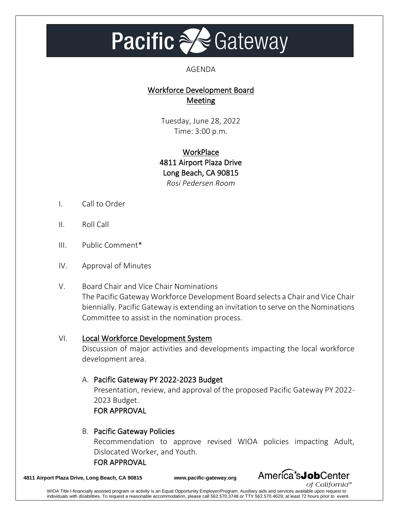# **Pacific a Gateway**

#### AGENDA

## Workforce Development Board Meeting

Tuesday, June 28, 2022 Time: 3:00 p.m.

## **WorkPlace** 4811 Airport Plaza Drive Long Beach, CA 90815 *Rosi Pedersen Room*

- I. Call to Order
- II. Roll Call
- III. Public Comment\*
- IV. Approval of Minutes
- V. Board Chair and Vice Chair Nominations The Pacific Gateway Workforce Development Board selects a Chair and Vice Chair biennially. Pacific Gateway is extending an invitation to serve on the Nominations Committee to assist in the nomination process.

## VI. Local Workforce Development System

Discussion of major activities and developments impacting the local workforce development area.

## A. Pacific Gateway PY 2022-2023 Budget

Presentation, review, and approval of the proposed Pacific Gateway PY 2022- 2023 Budget. FOR APPROVAL

#### B. Pacific Gateway Policies

Recommendation to approve revised WIOA policies impacting Adult, Dislocated Worker, and Youth.

FOR APPROVAL

**4811 Airport Plaza Drive, Long Beach, CA 90815 www.pacific-gateway.org**

America<sup>\*</sup>sJobCenter of California™

WIOA Title I-financially assisted program or activity is an Equal Opportunity Employer/Program. Auxiliary aids and services available upon request to individuals with disabilities. To request a reasonable accommodation, please call 562.570.3748 or TTY 562.570.4629, at least 72 hours prior to event.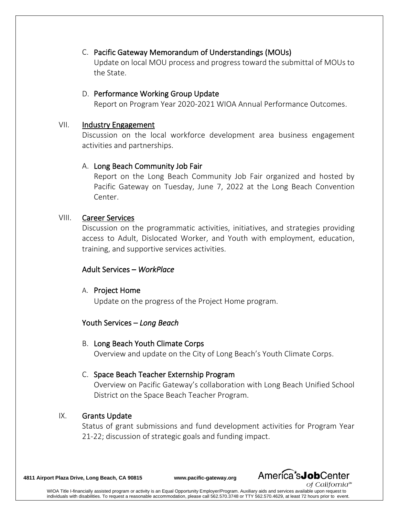## C. Pacific Gateway Memorandum of Understandings (MOUs)

Update on local MOU process and progress toward the submittal of MOUs to the State.

#### D. Performance Working Group Update

Report on Program Year 2020-2021 WIOA Annual Performance Outcomes.

#### VII. Industry Engagement

Discussion on the local workforce development area business engagement activities and partnerships.

## A. Long Beach Community Job Fair

Report on the Long Beach Community Job Fair organized and hosted by Pacific Gateway on Tuesday, June 7, 2022 at the Long Beach Convention Center.

#### VIII. Career Services

Discussion on the programmatic activities, initiatives, and strategies providing access to Adult, Dislocated Worker, and Youth with employment, education, training, and supportive services activities.

## Adult Services – *WorkPlace*

#### A. Project Home

Update on the progress of the Project Home program.

## Youth Services – *Long Beach*

B. Long Beach Youth Climate Corps

Overview and update on the City of Long Beach's Youth Climate Corps.

## C. Space Beach Teacher Externship Program

Overview on Pacific Gateway's collaboration with Long Beach Unified School District on the Space Beach Teacher Program.

## IX. Grants Update

Status of grant submissions and fund development activities for Program Year 21-22; discussion of strategic goals and funding impact.

**4811 Airport Plaza Drive, Long Beach, CA 90815 www.pacific-gateway.org**



WIOA Title I-financially assisted program or activity is an Equal Opportunity Employer/Program. Auxiliary aids and services available upon request to individuals with disabilities. To request a reasonable accommodation, please call 562.570.3748 or TTY 562.570.4629, at least 72 hours prior to event.